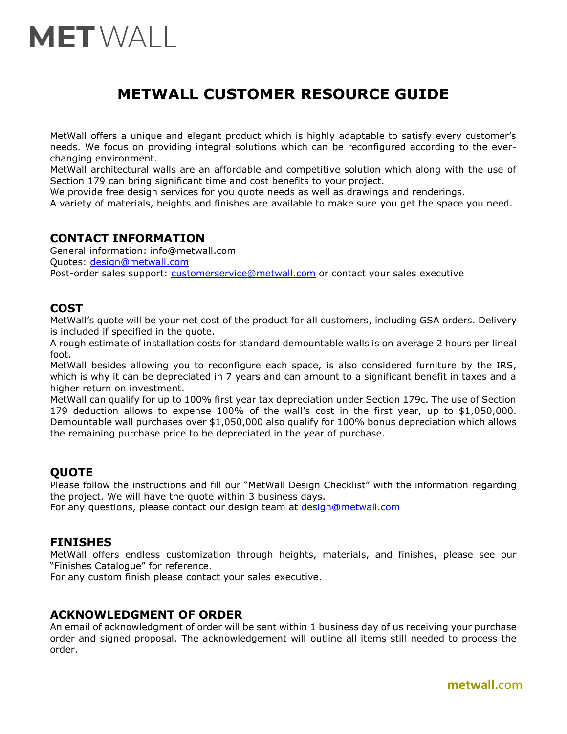# **MET**WALL

# **METWALL CUSTOMER RESOURCE GUIDE**

MetWall offers a unique and elegant product which is highly adaptable to satisfy every customer's needs. We focus on providing integral solutions which can be reconfigured according to the everchanging environment.

MetWall architectural walls are an affordable and competitive solution which along with the use of Section 179 can bring significant time and cost benefits to your project.

We provide free design services for you quote needs as well as drawings and renderings.

A variety of materials, heights and finishes are available to make sure you get the space you need.

# **CONTACT INFORMATION**

General information: [info@metwall.com](mailto:info@metwall.com) Quotes: [design@metwall.com](mailto:design@metwall.com) Post-order sales support: [customerservice@metwall.com](mailto:customerservice@metwall.com) or contact your sales executive

# **COST**

MetWall's quote will be your net cost of the product for all customers, including GSA orders. Delivery is included if specified in the quote.

A rough estimate of installation costs for standard demountable walls is on average 2 hours per lineal foot.

MetWall besides allowing you to reconfigure each space, is also considered furniture by the IRS, which is why it can be depreciated in 7 years and can amount to a significant benefit in taxes and a higher return on investment.

MetWall can qualify for up to 100% first year tax depreciation under Section 179c. The use of Section 179 deduction allows to expense 100% of the wall's cost in the first year, up to \$1,050,000. Demountable wall purchases over \$1,050,000 also qualify for 100% bonus depreciation which allows the remaining purchase price to be depreciated in the year of purchase.

# **QUOTE**

Please follow the instructions and fill our "MetWall Design Checklist" with the information regarding the project. We will have the quote within 3 business days.

For any questions, please contact our design team at [design@metwall.com](mailto:design@metwall.com)

# **FINISHES**

MetWall offers endless customization through heights, materials, and finishes, please see our "Finishes Catalogue" for reference.

For any custom finish please contact your sales executive.

# **ACKNOWLEDGMENT OF ORDER**

An email of acknowledgment of order will be sent within 1 business day of us receiving your purchase order and signed proposal. The acknowledgement will outline all items still needed to process the order.

**metwall.**com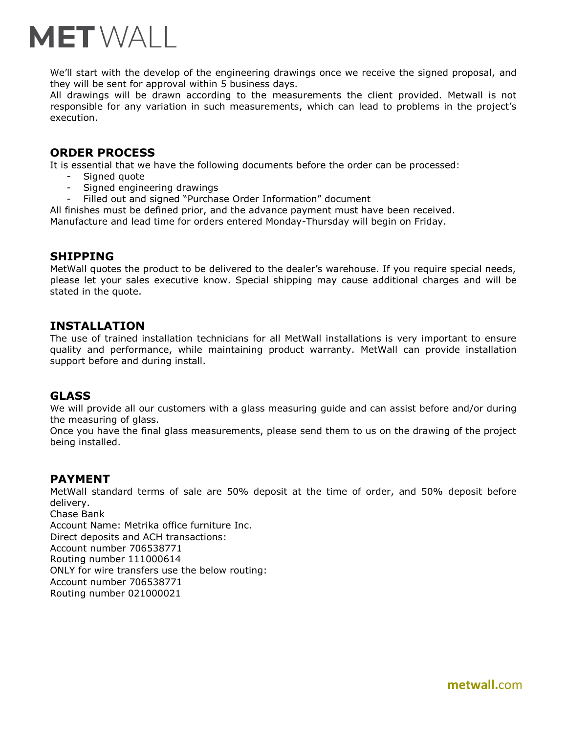

We'll start with the develop of the engineering drawings once we receive the signed proposal, and they will be sent for approval within 5 business days.

All drawings will be drawn according to the measurements the client provided. Metwall is not responsible for any variation in such measurements, which can lead to problems in the project's execution.

#### **ORDER PROCESS**

It is essential that we have the following documents before the order can be processed:

- Signed quote
- Signed engineering drawings
- Filled out and signed "Purchase Order Information" document

All finishes must be defined prior, and the advance payment must have been received. Manufacture and lead time for orders entered Monday-Thursday will begin on Friday.

#### **SHIPPING**

MetWall quotes the product to be delivered to the dealer's warehouse. If you require special needs, please let your sales executive know. Special shipping may cause additional charges and will be stated in the quote.

#### **INSTALLATION**

The use of trained installation technicians for all MetWall installations is very important to ensure quality and performance, while maintaining product warranty. MetWall can provide installation support before and during install.

#### **GLASS**

We will provide all our customers with a glass measuring guide and can assist before and/or during the measuring of glass.

Once you have the final glass measurements, please send them to us on the drawing of the project being installed.

#### **PAYMENT**

MetWall standard terms of sale are 50% deposit at the time of order, and 50% deposit before delivery. Chase Bank

Account Name: Metrika office furniture Inc. Direct deposits and ACH transactions: Account number 706538771 Routing number 111000614 ONLY for wire transfers use the below routing: Account number 706538771 Routing number 021000021

**metwall.**com